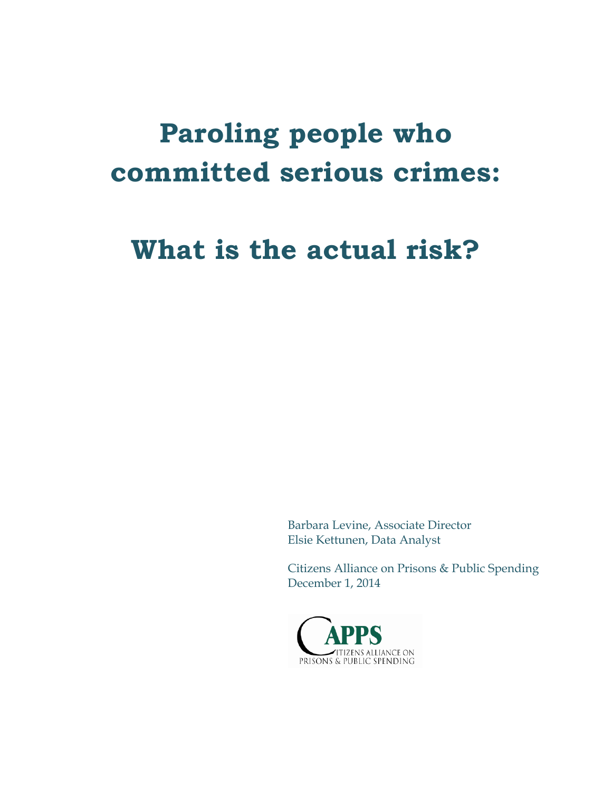# **Paroling people who committed serious crimes:**

# **What is the actual risk?**

Barbara Levine, Associate Director Elsie Kettunen, Data Analyst

Citizens Alliance on Prisons & Public Spending December 1, 2014

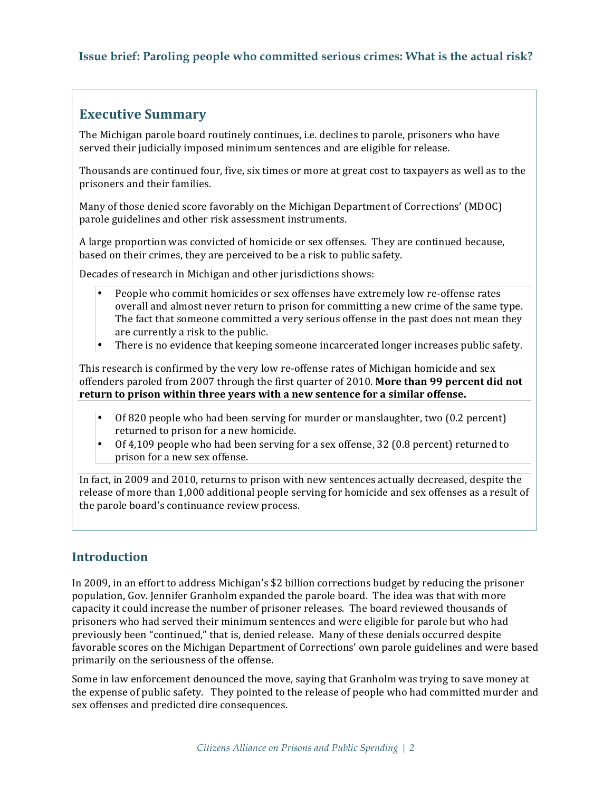# **Executive Summary**

The Michigan parole board routinely continues, *i.e.* declines to parole, prisoners who have served their judicially imposed minimum sentences and are eligible for release.

Thousands are continued four, five, six times or more at great cost to taxpayers as well as to the prisoners and their families.

Many of those denied score favorably on the Michigan Department of Corrections' (MDOC) parole guidelines and other risk assessment instruments.

**A** large proportion was convicted of homicide or sex offenses. They are continued because, based on their crimes, they are perceived to be a risk to public safety.

Decades of research in Michigan and other jurisdictions shows:

- People who commit homicides or sex offenses have extremely low re-offense rates overall and almost never return to prison for committing a new crime of the same type. The fact that someone committed a very serious offense in the past does not mean they are currently a risk to the public.
- There is no evidence that keeping someone incarcerated longer increases public safety.

This research is confirmed by the very low re-offense rates of Michigan homicide and sex offenders paroled from 2007 through the first quarter of 2010. More than 99 percent did not return to prison within three years with a new sentence for a similar offense.

- Of 820 people who had been serving for murder or manslaughter, two  $(0.2 \text{ percent})$ returned to prison for a new homicide.
- Of 4,109 people who had been serving for a sex offense, 32 (0.8 percent) returned to prison for a new sex offense.

In fact, in 2009 and 2010, returns to prison with new sentences actually decreased, despite the release of more than 1,000 additional people serving for homicide and sex offenses as a result of the parole board's continuance review process.

# **Introduction**

In 2009, in an effort to address Michigan's \$2 billion corrections budget by reducing the prisoner population, Gov. Jennifer Granholm expanded the parole board. The idea was that with more capacity it could increase the number of prisoner releases. The board reviewed thousands of prisoners who had served their minimum sentences and were eligible for parole but who had previously been "continued," that is, denied release. Many of these denials occurred despite favorable scores on the Michigan Department of Corrections' own parole guidelines and were based primarily on the seriousness of the offense.

Some in law enforcement denounced the move, saying that Granholm was trying to save money at the expense of public safety. They pointed to the release of people who had committed murder and sex offenses and predicted dire consequences.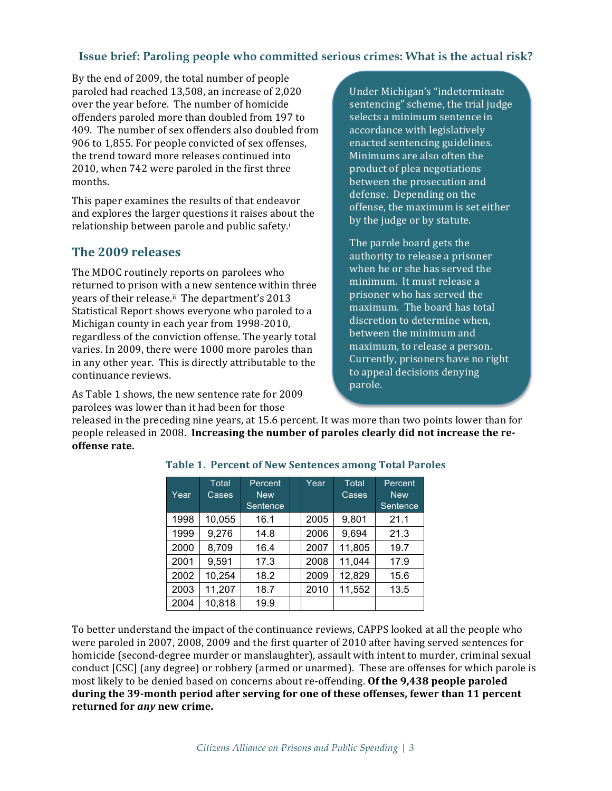By the end of 2009, the total number of people paroled had reached 13,508, an increase of 2,020 over the year before. The number of homicide offenders paroled more than doubled from 197 to 409. The number of sex offenders also doubled from 906 to 1,855. For people convicted of sex offenses, the trend toward more releases continued into 2010, when 742 were paroled in the first three months.

This paper examines the results of that endeavor and explores the larger questions it raises about the relationship between parole and public safety.<sup>i</sup>

# **The 2009 releases**

The MDOC routinely reports on parolees who returned to prison with a new sentence within three years of their release.<sup>ii</sup> The department's 2013 Statistical Report shows everyone who paroled to a Michigan county in each year from 1998-2010, regardless of the conviction offense. The yearly total varies. In 2009, there were 1000 more paroles than in any other year. This is directly attributable to the continuance reviews.

As Table 1 shows, the new sentence rate for 2009 parolees was lower than it had been for those

Under Michigan's "indeterminate sentencing" scheme, the trial judge selects a minimum sentence in accordance with legislatively enacted sentencing guidelines. Minimums are also often the product of plea negotiations between the prosecution and defense. Depending on the offense, the maximum is set either by the judge or by statute.

The parole board gets the authority to release a prisoner when he or she has served the minimum. It must release a prisoner who has served the maximum. The board has total discretion to determine when, between the minimum and maximum, to release a person. Currently, prisoners have no right to appeal decisions denying parole.

released in the preceding nine years, at 15.6 percent. It was more than two points lower than for people released in 2008. Increasing the number of paroles clearly did not increase the reoffense rate.

| Year | Total<br>Cases | Percent<br><b>New</b> | Year | Total<br>Cases | Percent<br><b>New</b> |
|------|----------------|-----------------------|------|----------------|-----------------------|
|      |                | Sentence              |      |                | Sentence              |
| 1998 | 10,055         | 16.1                  | 2005 | 9,801          | 21.1                  |
| 1999 | 9,276          | 14.8                  | 2006 | 9,694          | 21.3                  |
| 2000 | 8,709          | 16.4                  | 2007 | 11,805         | 19.7                  |
| 2001 | 9,591          | 17.3                  | 2008 | 11,044         | 17.9                  |
| 2002 | 10,254         | 18.2                  | 2009 | 12,829         | 15.6                  |
| 2003 | 11,207         | 18.7                  | 2010 | 11,552         | 13.5                  |
| 2004 | 10,818         | 19.9                  |      |                |                       |

#### Table 1. Percent of New Sentences among Total Paroles

To better understand the impact of the continuance reviews, CAPPS looked at all the people who were paroled in 2007, 2008, 2009 and the first quarter of 2010 after having served sentences for homicide (second-degree murder or manslaughter), assault with intent to murder, criminal sexual conduct [CSC] (any degree) or robbery (armed or unarmed). These are offenses for which parole is most likely to be denied based on concerns about re-offending. Of the 9,438 people paroled during the 39-month period after serving for one of these offenses, fewer than 11 percent returned for *any* new crime.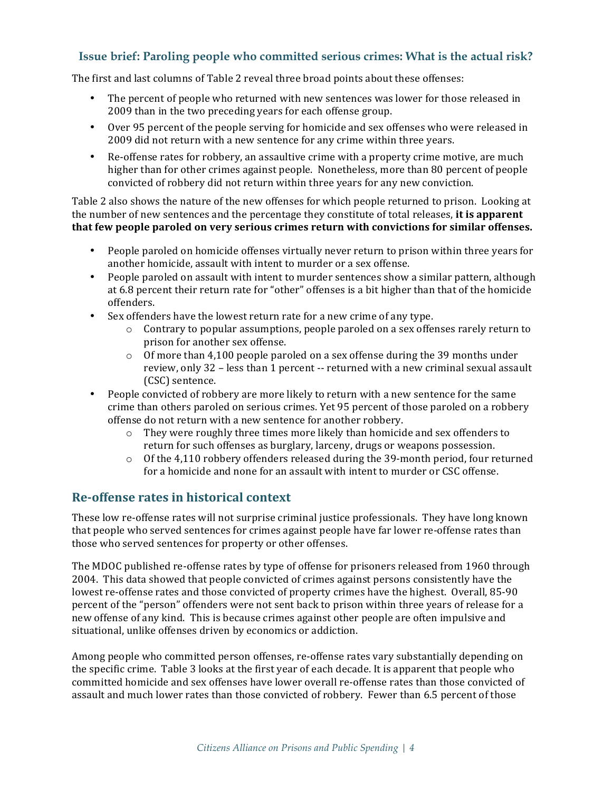The first and last columns of Table 2 reveal three broad points about these offenses:

- The percent of people who returned with new sentences was lower for those released in 2009 than in the two preceding years for each offense group.
- Over 95 percent of the people serving for homicide and sex offenses who were released in 2009 did not return with a new sentence for any crime within three years.
- Re-offense rates for robbery, an assaultive crime with a property crime motive, are much higher than for other crimes against people. Nonetheless, more than 80 percent of people convicted of robbery did not return within three years for any new conviction.

Table 2 also shows the nature of the new offenses for which people returned to prison. Looking at the number of new sentences and the percentage they constitute of total releases, it is apparent that few people paroled on very serious crimes return with convictions for similar offenses.

- People paroled on homicide offenses virtually never return to prison within three years for another homicide, assault with intent to murder or a sex offense.
- People paroled on assault with intent to murder sentences show a similar pattern, although at 6.8 percent their return rate for "other" offenses is a bit higher than that of the homicide offenders.
- Sex offenders have the lowest return rate for a new crime of any type.
	- $\circ$  Contrary to popular assumptions, people paroled on a sex offenses rarely return to prison for another sex offense.
	- $\circ$  Of more than 4,100 people paroled on a sex offense during the 39 months under review, only 32 - less than 1 percent -- returned with a new criminal sexual assault (CSC) sentence.
- People convicted of robbery are more likely to return with a new sentence for the same crime than others paroled on serious crimes. Yet 95 percent of those paroled on a robbery offense do not return with a new sentence for another robbery.
	- $\circ$  They were roughly three times more likely than homicide and sex offenders to return for such offenses as burglary, larceny, drugs or weapons possession.
	- $\circ$  Of the 4,110 robbery offenders released during the 39-month period, four returned for a homicide and none for an assault with intent to murder or CSC offense.

#### **Re-offense rates in historical context**

These low re-offense rates will not surprise criminal justice professionals. They have long known that people who served sentences for crimes against people have far lower re-offense rates than those who served sentences for property or other offenses.

The MDOC published re-offense rates by type of offense for prisoners released from 1960 through 2004. This data showed that people convicted of crimes against persons consistently have the lowest re-offense rates and those convicted of property crimes have the highest. Overall, 85-90 percent of the "person" offenders were not sent back to prison within three years of release for a new offense of any kind. This is because crimes against other people are often impulsive and situational, unlike offenses driven by economics or addiction.

Among people who committed person offenses, re-offense rates vary substantially depending on the specific crime. Table 3 looks at the first year of each decade. It is apparent that people who committed homicide and sex offenses have lower overall re-offense rates than those convicted of assault and much lower rates than those convicted of robbery. Fewer than 6.5 percent of those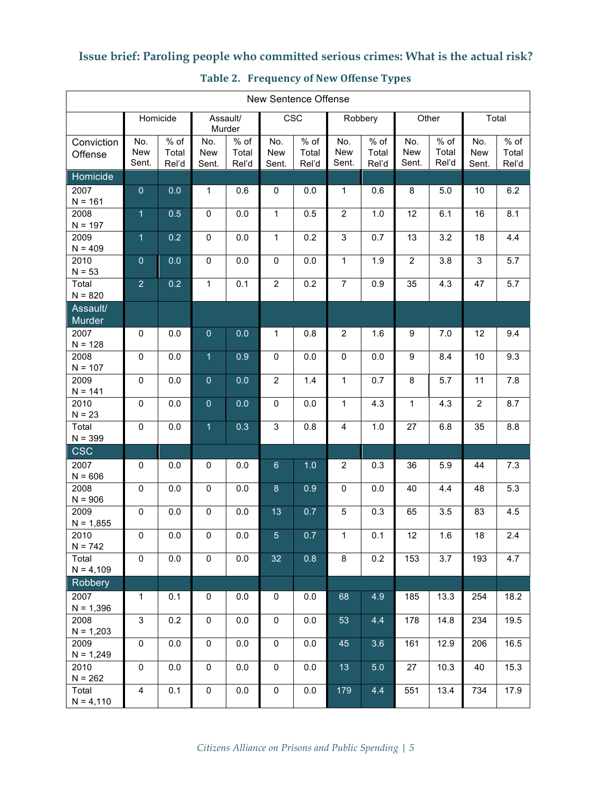| New Sentence Offense  |                            |                          |                     |                          |                            |                          |                            |                          |                            |                          |                            |                          |
|-----------------------|----------------------------|--------------------------|---------------------|--------------------------|----------------------------|--------------------------|----------------------------|--------------------------|----------------------------|--------------------------|----------------------------|--------------------------|
|                       | Homicide                   |                          | Assault/<br>Murder  |                          | CSC                        |                          |                            | Robbery                  |                            | Other                    |                            | Total                    |
| Conviction<br>Offense | No.<br><b>New</b><br>Sent. | $%$ of<br>Total<br>Rel'd | No.<br>New<br>Sent. | $%$ of<br>Total<br>Rel'd | No.<br><b>New</b><br>Sent. | $%$ of<br>Total<br>Rel'd | No.<br><b>New</b><br>Sent. | $%$ of<br>Total<br>Rel'd | No.<br><b>New</b><br>Sent. | $%$ of<br>Total<br>Rel'd | No.<br><b>New</b><br>Sent. | $%$ of<br>Total<br>Rel'd |
| Homicide              |                            |                          |                     |                          |                            |                          |                            |                          |                            |                          |                            |                          |
| 2007<br>$N = 161$     | $\mathbf{0}$               | 0.0                      | 1                   | 0.6                      | 0                          | 0.0                      | $\mathbf{1}$               | 0.6                      | 8                          | 5.0                      | 10                         | 6.2                      |
| 2008<br>$N = 197$     | $\overline{1}$             | 0.5                      | 0                   | 0.0                      | $\mathbf{1}$               | 0.5                      | $\overline{2}$             | 1.0                      | 12                         | 6.1                      | 16                         | 8.1                      |
| 2009<br>$N = 409$     | $\overline{1}$             | 0.2                      | 0                   | 0.0                      | $\mathbf{1}$               | 0.2                      | 3                          | 0.7                      | 13                         | 3.2                      | 18                         | 4.4                      |
| 2010<br>$N = 53$      | $\mathbf{0}$               | 0.0                      | 0                   | 0.0                      | $\mathbf 0$                | 0.0                      | $\mathbf{1}$               | 1.9                      | $\overline{2}$             | 3.8                      | 3                          | 5.7                      |
| Total<br>$N = 820$    | $\overline{2}$             | 0.2                      | $\mathbf{1}$        | 0.1                      | $\overline{2}$             | 0.2                      | $\overline{7}$             | 0.9                      | 35                         | 4.3                      | 47                         | 5.7                      |
| Assault/<br>Murder    |                            |                          |                     |                          |                            |                          |                            |                          |                            |                          |                            |                          |
| 2007<br>$N = 128$     | 0                          | 0.0                      | $\pmb{0}$           | 0.0                      | $\mathbf{1}$               | 0.8                      | $\overline{2}$             | 1.6                      | 9                          | 7.0                      | 12                         | 9.4                      |
| 2008<br>$N = 107$     | 0                          | 0.0                      | $\overline{1}$      | 0.9                      | $\mathbf 0$                | 0.0                      | $\mathbf 0$                | 0.0                      | 9                          | 8.4                      | 10                         | 9.3                      |
| 2009<br>$N = 141$     | 0                          | 0.0                      | $\overline{0}$      | 0.0                      | $\overline{2}$             | 1.4                      | $\mathbf{1}$               | 0.7                      | 8                          | 5.7                      | 11                         | 7.8                      |
| 2010<br>$N = 23$      | 0                          | 0.0                      | $\pmb{0}$           | 0.0                      | 0                          | 0.0                      | $\mathbf{1}$               | 4.3                      | 1                          | 4.3                      | $\overline{2}$             | 8.7                      |
| Total<br>$N = 399$    | 0                          | 0.0                      | $\overline{1}$      | 0.3                      | 3                          | 0.8                      | $\overline{4}$             | $1.0$                    | 27                         | 6.8                      | 35                         | 8.8                      |
| <b>CSC</b>            |                            |                          |                     |                          |                            |                          |                            |                          |                            |                          |                            |                          |
| 2007<br>$N = 606$     | $\mathbf 0$                | 0.0                      | 0                   | 0.0                      | $6\phantom{a}$             | 1.0                      | $\overline{2}$             | 0.3                      | 36                         | 5.9                      | 44                         | 7.3                      |
| 2008<br>$N = 906$     | 0                          | 0.0                      | 0                   | 0.0                      | 8                          | 0.9                      | $\mathbf 0$                | 0.0                      | 40                         | 4.4                      | 48                         | 5.3                      |
| 2009<br>$N = 1,855$   | 0                          | 0.0                      | $\mathbf 0$         | 0.0                      | 13                         | 0.7                      | 5                          | 0.3                      | 65                         | 3.5                      | 83                         | 4.5                      |
| 2010<br>$N = 742$     | 0                          | 0.0                      | 0                   | 0.0                      | 5 <sub>5</sub>             | 0.7                      | 1                          | 0.1                      | 12                         | 1.6                      | 18                         | $2.4\,$                  |
| Total<br>$N = 4,109$  | $\pmb{0}$                  | 0.0                      | $\pmb{0}$           | 0.0                      | 32                         | 0.8                      | $\bf 8$                    | 0.2                      | 153                        | 3.7                      | 193                        | 4.7                      |
| <b>Robbery</b>        |                            |                          |                     |                          |                            |                          |                            |                          |                            |                          |                            |                          |
| 2007<br>$N = 1,396$   | $\mathbf{1}$               | 0.1                      | 0                   | 0.0                      | 0                          | 0.0                      | 68                         | 4.9                      | 185                        | 13.3                     | 254                        | 18.2                     |
| 2008<br>$N = 1,203$   | 3                          | 0.2                      | $\pmb{0}$           | 0.0                      | $\mathsf{O}\xspace$        | 0.0                      | 53                         | 4.4                      | 178                        | 14.8                     | 234                        | 19.5                     |
| 2009<br>$N = 1,249$   | $\pmb{0}$                  | 0.0                      | $\mathsf{O}\xspace$ | 0.0                      | $\mathbf 0$                | 0.0                      | 45                         | 3.6                      | 161                        | 12.9                     | 206                        | 16.5                     |
| 2010<br>$N = 262$     | $\pmb{0}$                  | 0.0                      | $\mathsf{O}\xspace$ | 0.0                      | $\pmb{0}$                  | 0.0                      | 13                         | 5.0                      | 27                         | 10.3                     | 40                         | 15.3                     |
| Total<br>$N = 4,110$  | 4                          | 0.1                      | $\pmb{0}$           | 0.0                      | 0                          | 0.0                      | 179                        | 4.4                      | 551                        | 13.4                     | 734                        | 17.9                     |

# Table 2. Frequency of New Offense Types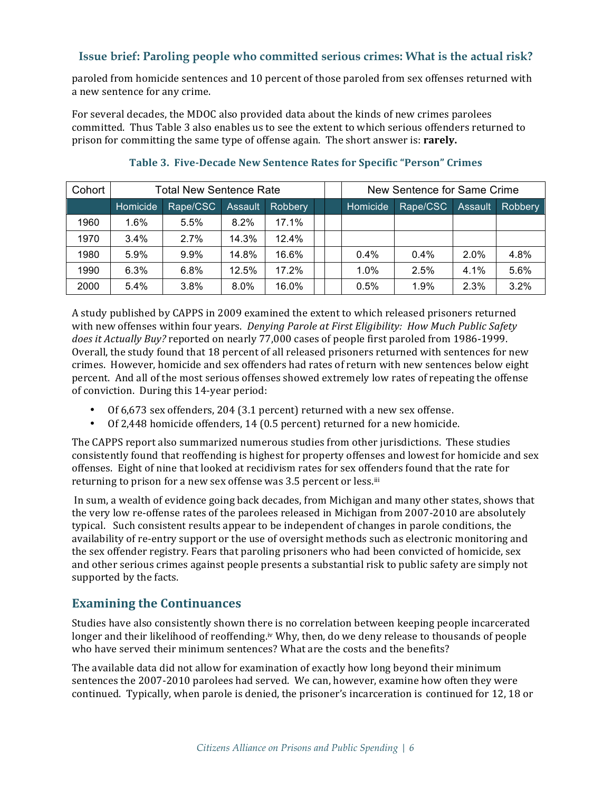paroled from homicide sentences and 10 percent of those paroled from sex offenses returned with a new sentence for any crime.

For several decades, the MDOC also provided data about the kinds of new crimes parolees committed. Thus Table 3 also enables us to see the extent to which serious offenders returned to prison for committing the same type of offense again. The short answer is: **rarely.** 

| Cohort | <b>Total New Sentence Rate</b> |          |         |         |  |          | New Sentence for Same Crime |                |                |
|--------|--------------------------------|----------|---------|---------|--|----------|-----------------------------|----------------|----------------|
|        | Homicide                       | Rape/CSC | Assault | Robbery |  | Homicide | Rape/CSC                    | <b>Assault</b> | <b>Robbery</b> |
| 1960   | $1.6\%$                        | 5.5%     | $8.2\%$ | 17.1%   |  |          |                             |                |                |
| 1970   | $3.4\%$                        | 2.7%     | 14.3%   | 12.4%   |  |          |                             |                |                |
| 1980   | 5.9%                           | 9.9%     | 14.8%   | 16.6%   |  | $0.4\%$  | $0.4\%$                     | 2.0%           | 4.8%           |
| 1990   | $6.3\%$                        | $6.8\%$  | 12.5%   | 17.2%   |  | $1.0\%$  | 2.5%                        | 4.1%           | 5.6%           |
| 2000   | $5.4\%$                        | 3.8%     | 8.0%    | 16.0%   |  | 0.5%     | 1.9%                        | 2.3%           | 3.2%           |

#### **Table 3. Five-Decade New Sentence Rates for Specific "Person" Crimes**

A study published by CAPPS in 2009 examined the extent to which released prisoners returned with new offenses within four years. *Denying Parole at First Eligibility: How Much Public Safety* does *it Actually Buy?* reported on nearly 77,000 cases of people first paroled from 1986-1999. Overall, the study found that 18 percent of all released prisoners returned with sentences for new crimes. However, homicide and sex offenders had rates of return with new sentences below eight percent. And all of the most serious offenses showed extremely low rates of repeating the offense of conviction. During this 14-year period:

- Of 6,673 sex offenders, 204 (3.1 percent) returned with a new sex offense.
- Of 2,448 homicide offenders, 14 (0.5 percent) returned for a new homicide.

The CAPPS report also summarized numerous studies from other jurisdictions. These studies consistently found that reoffending is highest for property offenses and lowest for homicide and sex offenses. Eight of nine that looked at recidivism rates for sex offenders found that the rate for returning to prison for a new sex offense was 3.5 percent or less.iii

In sum, a wealth of evidence going back decades, from Michigan and many other states, shows that the very low re-offense rates of the parolees released in Michigan from 2007-2010 are absolutely typical. Such consistent results appear to be independent of changes in parole conditions, the availability of re-entry support or the use of oversight methods such as electronic monitoring and the sex offender registry. Fears that paroling prisoners who had been convicted of homicide, sex and other serious crimes against people presents a substantial risk to public safety are simply not supported by the facts.

# **Examining the Continuances**

Studies have also consistently shown there is no correlation between keeping people incarcerated longer and their likelihood of reoffending.<sup>iv</sup> Why, then, do we deny release to thousands of people who have served their minimum sentences? What are the costs and the benefits?

The available data did not allow for examination of exactly how long beyond their minimum sentences the 2007-2010 parolees had served. We can, however, examine how often they were continued. Typically, when parole is denied, the prisoner's incarceration is continued for 12, 18 or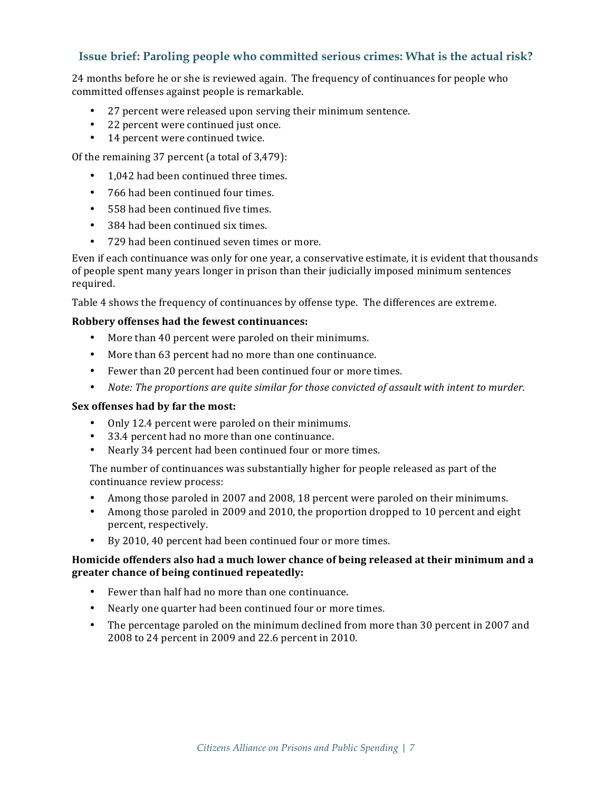24 months before he or she is reviewed again. The frequency of continuances for people who committed offenses against people is remarkable.

- 27 percent were released upon serving their minimum sentence.
- 22 percent were continued just once.
- 14 percent were continued twice.

Of the remaining  $37$  percent (a total of  $3,479$ ):

- 1,042 had been continued three times.
- 766 had been continued four times.
- 558 had been continued five times.
- 384 had been continued six times.
- 729 had been continued seven times or more.

Even if each continuance was only for one year, a conservative estimate, it is evident that thousands of people spent many years longer in prison than their judicially imposed minimum sentences required. 

Table 4 shows the frequency of continuances by offense type. The differences are extreme.

#### **Robbery** offenses had the fewest continuances:

- More than 40 percent were paroled on their minimums.
- More than 63 percent had no more than one continuance.
- Fewer than 20 percent had been continued four or more times.
- Note: The proportions are quite similar for those convicted of assault with intent to murder.

#### **Sex** offenses had by far the most:

- Only 12.4 percent were paroled on their minimums.
- 33.4 percent had no more than one continuance.
- Nearly 34 percent had been continued four or more times.

The number of continuances was substantially higher for people released as part of the continuance review process:

- Among those paroled in 2007 and 2008, 18 percent were paroled on their minimums.
- Among those paroled in 2009 and 2010, the proportion dropped to 10 percent and eight percent, respectively.
- By 2010, 40 percent had been continued four or more times.

#### Homicide offenders also had a much lower chance of being released at their minimum and a greater chance of being continued repeatedly:

- Fewer than half had no more than one continuance.
- Nearly one quarter had been continued four or more times.
- The percentage paroled on the minimum declined from more than 30 percent in 2007 and 2008 to 24 percent in 2009 and 22.6 percent in 2010.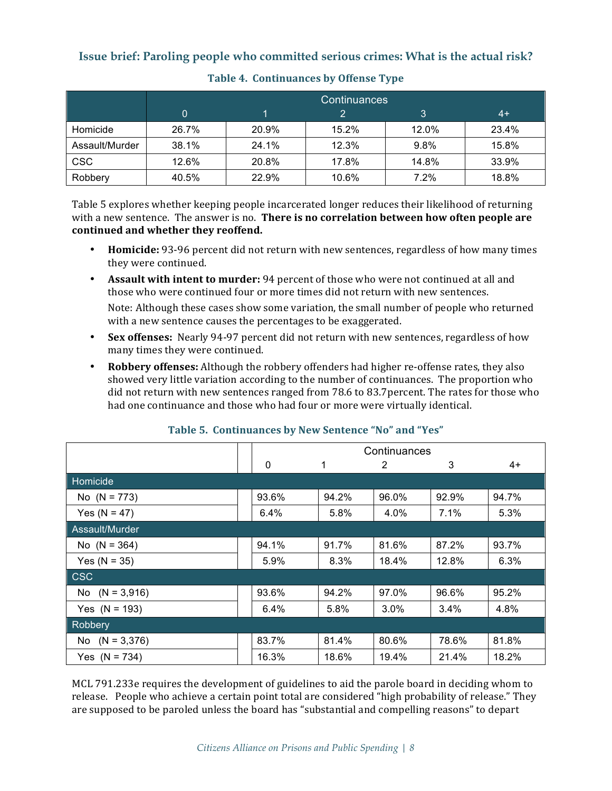|                | <b>Continuances</b> |                |       |       |       |  |  |  |  |  |  |
|----------------|---------------------|----------------|-------|-------|-------|--|--|--|--|--|--|
|                | 0                   | 3<br>$4+$<br>っ |       |       |       |  |  |  |  |  |  |
| Homicide       | 26.7%               | 20.9%          | 15.2% | 12.0% | 23.4% |  |  |  |  |  |  |
| Assault/Murder | 38.1%               | 24.1%          | 12.3% | 9.8%  | 15.8% |  |  |  |  |  |  |
| <b>CSC</b>     | 12.6%               | 20.8%          | 17.8% | 14.8% | 33.9% |  |  |  |  |  |  |
| Robbery        | 40.5%               | 22.9%          | 10.6% | 7.2%  | 18.8% |  |  |  |  |  |  |

#### Table 4. Continuances by Offense Type

Table 5 explores whether keeping people incarcerated longer reduces their likelihood of returning with a new sentence. The answer is no. **There is no correlation between how often people are** continued and whether they reoffend.

- **Homicide:** 93-96 percent did not return with new sentences, regardless of how many times they were continued.
- **Assault with intent to murder:** 94 percent of those who were not continued at all and those who were continued four or more times did not return with new sentences.

Note: Although these cases show some variation, the small number of people who returned with a new sentence causes the percentages to be exaggerated.

- **Sex offenses:** Nearly 94-97 percent did not return with new sentences, regardless of how many times they were continued.
- **Robbery offenses:** Although the robbery offenders had higher re-offense rates, they also showed very little variation according to the number of continuances. The proportion who did not return with new sentences ranged from 78.6 to 83.7percent. The rates for those who had one continuance and those who had four or more were virtually identical.

|                  | Continuances |       |         |       |       |  |  |
|------------------|--------------|-------|---------|-------|-------|--|--|
|                  | 0            | 1     | 2       | 3     | $4+$  |  |  |
| Homicide         |              |       |         |       |       |  |  |
| No $(N = 773)$   | 93.6%        | 94.2% | 96.0%   | 92.9% | 94.7% |  |  |
| Yes ( $N = 47$ ) | 6.4%         | 5.8%  | 4.0%    | 7.1%  | 5.3%  |  |  |
| Assault/Murder   |              |       |         |       |       |  |  |
| No $(N = 364)$   | 94.1%        | 91.7% | 81.6%   | 87.2% | 93.7% |  |  |
| Yes ( $N = 35$ ) | 5.9%         | 8.3%  | 18.4%   | 12.8% | 6.3%  |  |  |
| <b>CSC</b>       |              |       |         |       |       |  |  |
| No $(N = 3,916)$ | 93.6%        | 94.2% | 97.0%   | 96.6% | 95.2% |  |  |
| Yes $(N = 193)$  | 6.4%         | 5.8%  | $3.0\%$ | 3.4%  | 4.8%  |  |  |
| Robbery          |              |       |         |       |       |  |  |
| No $(N = 3,376)$ | 83.7%        | 81.4% | 80.6%   | 78.6% | 81.8% |  |  |
| Yes $(N = 734)$  | 16.3%        | 18.6% | 19.4%   | 21.4% | 18.2% |  |  |

#### **Table 5. Continuances by New Sentence "No" and "Yes"**

MCL 791.233e requires the development of guidelines to aid the parole board in deciding whom to release. People who achieve a certain point total are considered "high probability of release." They are supposed to be paroled unless the board has "substantial and compelling reasons" to depart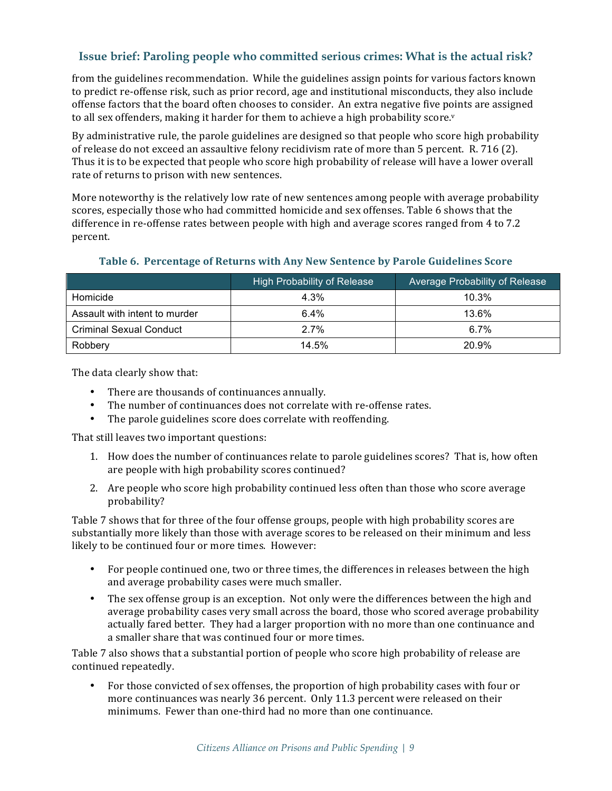from the guidelines recommendation. While the guidelines assign points for various factors known to predict re-offense risk, such as prior record, age and institutional misconducts, they also include offense factors that the board often chooses to consider. An extra negative five points are assigned to all sex offenders, making it harder for them to achieve a high probability score.<sup>v</sup>

By administrative rule, the parole guidelines are designed so that people who score high probability of release do not exceed an assaultive felony recidivism rate of more than 5 percent. R. 716 (2). Thus it is to be expected that people who score high probability of release will have a lower overall rate of returns to prison with new sentences.

More noteworthy is the relatively low rate of new sentences among people with average probability scores, especially those who had committed homicide and sex offenses. Table 6 shows that the difference in re-offense rates between people with high and average scores ranged from 4 to 7.2 percent.

#### Table 6. Percentage of Returns with Any New Sentence by Parole Guidelines Score

|                                | High Probability of Release | Average Probability of Release |
|--------------------------------|-----------------------------|--------------------------------|
| Homicide                       | 4.3%                        | $10.3\%$                       |
| Assault with intent to murder  | 6.4%                        | 13.6%                          |
| <b>Criminal Sexual Conduct</b> | 2.7%                        | $6.7\%$                        |
| Robbery                        | 14.5%                       | 20.9%                          |

The data clearly show that:

- There are thousands of continuances annually.
- The number of continuances does not correlate with re-offense rates.
- The parole guidelines score does correlate with reoffending.

That still leaves two important questions:

- 1. How does the number of continuances relate to parole guidelines scores? That is, how often are people with high probability scores continued?
- 2. Are people who score high probability continued less often than those who score average probability?

Table 7 shows that for three of the four offense groups, people with high probability scores are substantially more likely than those with average scores to be released on their minimum and less likely to be continued four or more times. However:

- For people continued one, two or three times, the differences in releases between the high and average probability cases were much smaller.
- The sex offense group is an exception. Not only were the differences between the high and average probability cases very small across the board, those who scored average probability actually fared better. They had a larger proportion with no more than one continuance and a smaller share that was continued four or more times.

Table 7 also shows that a substantial portion of people who score high probability of release are continued repeatedly.

For those convicted of sex offenses, the proportion of high probability cases with four or more continuances was nearly 36 percent. Only 11.3 percent were released on their minimums. Fewer than one-third had no more than one continuance.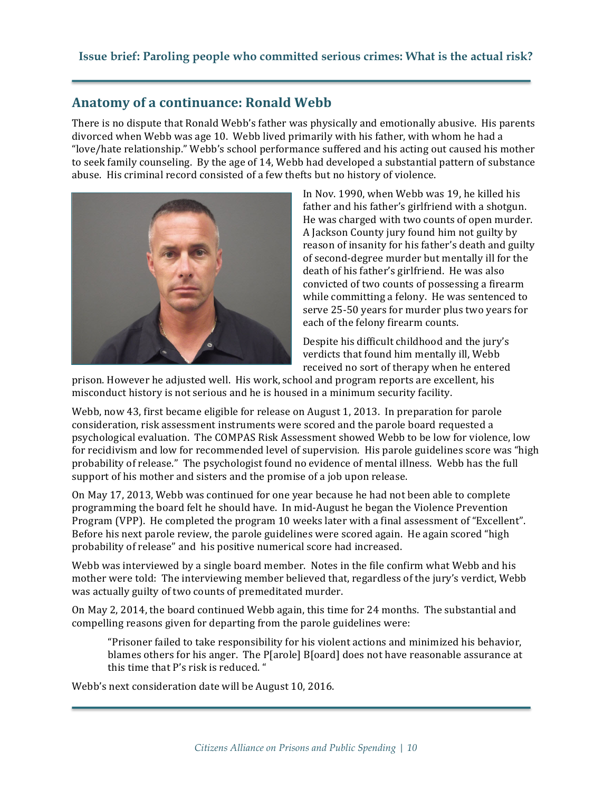# **Anatomy of a continuance: Ronald Webb**

There is no dispute that Ronald Webb's father was physically and emotionally abusive. His parents divorced when Webb was age 10. Webb lived primarily with his father, with whom he had a "love/hate relationship." Webb's school performance suffered and his acting out caused his mother to seek family counseling. By the age of 14, Webb had developed a substantial pattern of substance abuse. His criminal record consisted of a few thefts but no history of violence.



In Nov. 1990, when Webb was 19, he killed his father and his father's girlfriend with a shotgun. He was charged with two counts of open murder. A Jackson County jury found him not guilty by reason of insanity for his father's death and guilty of second-degree murder but mentally ill for the death of his father's girlfriend. He was also convicted of two counts of possessing a firearm while committing a felony. He was sentenced to serve 25-50 years for murder plus two years for each of the felony firearm counts.

Despite his difficult childhood and the jury's verdicts that found him mentally ill, Webb received no sort of therapy when he entered

prison. However he adjusted well. His work, school and program reports are excellent, his misconduct history is not serious and he is housed in a minimum security facility.

Webb, now 43, first became eligible for release on August 1, 2013. In preparation for parole consideration, risk assessment instruments were scored and the parole board requested a psychological evaluation. The COMPAS Risk Assessment showed Webb to be low for violence, low for recidivism and low for recommended level of supervision. His parole guidelines score was "high probability of release." The psychologist found no evidence of mental illness. Webb has the full support of his mother and sisters and the promise of a job upon release.

On May 17, 2013, Webb was continued for one year because he had not been able to complete programming the board felt he should have. In mid-August he began the Violence Prevention Program (VPP). He completed the program 10 weeks later with a final assessment of "Excellent". Before his next parole review, the parole guidelines were scored again. He again scored "high probability of release" and his positive numerical score had increased.

Webb was interviewed by a single board member. Notes in the file confirm what Webb and his mother were told: The interviewing member believed that, regardless of the jury's verdict, Webb was actually guilty of two counts of premeditated murder.

On May 2, 2014, the board continued Webb again, this time for 24 months. The substantial and compelling reasons given for departing from the parole guidelines were:

"Prisoner failed to take responsibility for his violent actions and minimized his behavior, blames others for his anger. The  $P[arcole]$   $B[card]$  does not have reasonable assurance at this time that P's risk is reduced. "

Webb's next consideration date will be August 10, 2016.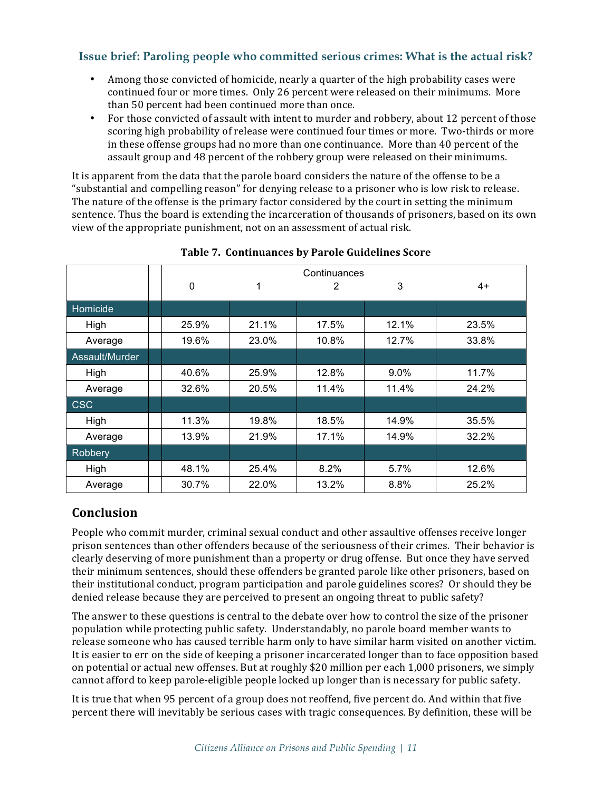- Among those convicted of homicide, nearly a quarter of the high probability cases were continued four or more times. Only 26 percent were released on their minimums. More than 50 percent had been continued more than once.
- For those convicted of assault with intent to murder and robbery, about 12 percent of those scoring high probability of release were continued four times or more. Two-thirds or more in these offense groups had no more than one continuance. More than 40 percent of the assault group and 48 percent of the robbery group were released on their minimums.

It is apparent from the data that the parole board considers the nature of the offense to be a "substantial and compelling reason" for denying release to a prisoner who is low risk to release. The nature of the offense is the primary factor considered by the court in setting the minimum sentence. Thus the board is extending the incarceration of thousands of prisoners, based on its own view of the appropriate punishment, not on an assessment of actual risk.

|                | Continuances |       |       |         |       |  |  |  |  |
|----------------|--------------|-------|-------|---------|-------|--|--|--|--|
|                | 0            | 1     | 2     | 3       | $4+$  |  |  |  |  |
| Homicide       |              |       |       |         |       |  |  |  |  |
| High           | 25.9%        | 21.1% | 17.5% | 12.1%   | 23.5% |  |  |  |  |
| Average        | 19.6%        | 23.0% | 10.8% | 12.7%   | 33.8% |  |  |  |  |
| Assault/Murder |              |       |       |         |       |  |  |  |  |
| High           | 40.6%        | 25.9% | 12.8% | $9.0\%$ | 11.7% |  |  |  |  |
| Average        | 32.6%        | 20.5% | 11.4% | 11.4%   | 24.2% |  |  |  |  |
| <b>CSC</b>     |              |       |       |         |       |  |  |  |  |
| High           | 11.3%        | 19.8% | 18.5% | 14.9%   | 35.5% |  |  |  |  |
| Average        | 13.9%        | 21.9% | 17.1% | 14.9%   | 32.2% |  |  |  |  |
| Robbery        |              |       |       |         |       |  |  |  |  |
| High           | 48.1%        | 25.4% | 8.2%  | 5.7%    | 12.6% |  |  |  |  |
| Average        | 30.7%        | 22.0% | 13.2% | 8.8%    | 25.2% |  |  |  |  |

#### Table 7. Continuances by Parole Guidelines Score

# **Conclusion**

People who commit murder, criminal sexual conduct and other assaultive offenses receive longer prison sentences than other offenders because of the seriousness of their crimes. Their behavior is clearly deserving of more punishment than a property or drug offense. But once they have served their minimum sentences, should these offenders be granted parole like other prisoners, based on their institutional conduct, program participation and parole guidelines scores? Or should they be denied release because they are perceived to present an ongoing threat to public safety?

The answer to these questions is central to the debate over how to control the size of the prisoner population while protecting public safety. Understandably, no parole board member wants to release someone who has caused terrible harm only to have similar harm visited on another victim. It is easier to err on the side of keeping a prisoner incarcerated longer than to face opposition based on potential or actual new offenses. But at roughly \$20 million per each 1,000 prisoners, we simply cannot afford to keep parole-eligible people locked up longer than is necessary for public safety.

It is true that when 95 percent of a group does not reoffend, five percent do. And within that five percent there will inevitably be serious cases with tragic consequences. By definition, these will be